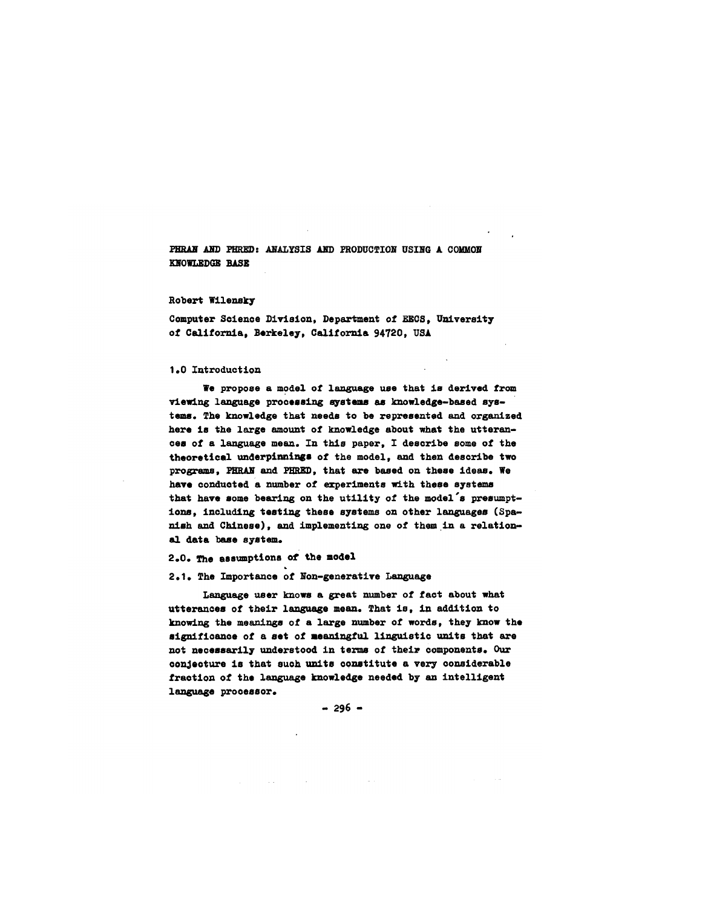PHRAN AND PHRED: ANALYSIS AND PRODUCTION USING A COMMON KNOWLEDGE BASE

#### Robert Wilensky

Computer Science Dlwision, Department of EECS, University of California, Berkeley, California 94720, USA

#### 1.0 Introduction

We propose a model of language use that is derived from viewing language processing systems as knowledge-based systems. The knowledge that needs to be represented and organized here is the large amount of knowledge about what the utterances of a language mean. In this paper, I describe some of the theoretical underpinnings of the model, and then describe two programs, PHRAN and PHRED, that are based on these ideas. We have conducted a number of experiments with these systems that have some bearing on the utility of the model's presumptions, including testing these systems on other languages (Spahish and Chinese), and implementing one of them in a relational data base system.

# 2.0. The assumptions of the model

## 2.1. The Importance of Non-generative Language

Language user knows a great number of fact about what utterances of their language mean. That is, in addition to knowing the meanings of a large number of words, they know the significance of a set of meaningful linguistic units that are not necessarily understood in terms of their components. Our conjecture is that such units constitute a very considerable fraction of the language knowledge needed by an intelligent language processor.

 $-296 -$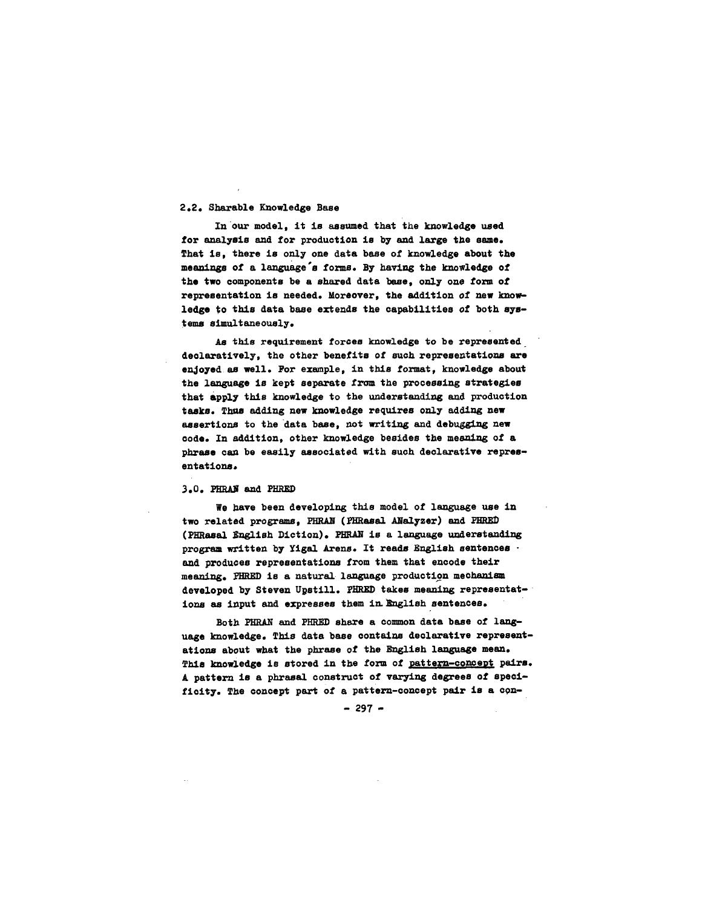## 2.2. 3harable Knowledge Base

In our model, it is assumed that the knowledge used for analysis and for production is by and large the same. That is, there is only one data base of knowledge about the meanings of a language's forms. By having the knowledge of the two components be a shared data base, only one form of representation is needed. Moreover, the addition of new knowledge to this data base extends the capabilities of both systems simultaneously.

As this requirement forces knowledge to be represented declaratively, the other benefits of such representations are enjoyed as well. For example, in this format, knowledge about the language is kept separate from the processing strategies that apply this knowledge to the understanding and production tasks. Thus adding new knowledge requires only adding new assertions to the data base, not writing and debugging new code. In addition, other knowledge besides the meaning of a phrase can be easily associated with such declarative representations.

#### 3.0. PHRAN and PHRED

We have been developing this model of language use in two related programs, PHRAN (PHRasal ANalyzer) and PHRED (PHRasal English Diction). PHRAN is a language understanding program written by ¥igal Arens. It reads English sentences and produces representations from them that encode their meaning. PHRED is a natural language production mechanism developed by Steven Upstill. PHRED takes meaning representations as input and expresses them in English sentences.

Both PHRAN and PHRED share a common data base of language knowledge. This data base contains declarative representations about what the phrase of the English language mean. This knowledge is stored in the form of pattern-concept pairs. A pattern is a phrasal construct of varying degrees of specificity. The concept part of a pattern-concept pair is a con-

 $-297 -$